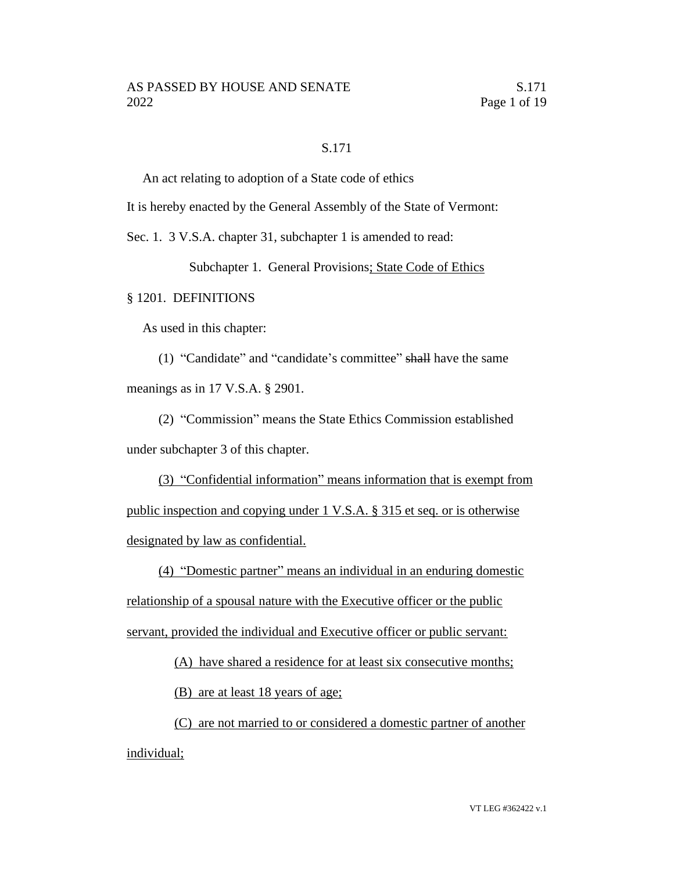#### S.171

An act relating to adoption of a State code of ethics

It is hereby enacted by the General Assembly of the State of Vermont:

Sec. 1. 3 V.S.A. chapter 31, subchapter 1 is amended to read:

Subchapter 1. General Provisions; State Code of Ethics

## § 1201. DEFINITIONS

As used in this chapter:

(1) "Candidate" and "candidate's committee" shall have the same meanings as in 17 V.S.A. § 2901.

(2) "Commission" means the State Ethics Commission established under subchapter 3 of this chapter.

(3) "Confidential information" means information that is exempt from public inspection and copying under 1 V.S.A. § 315 et seq. or is otherwise designated by law as confidential.

(4) "Domestic partner" means an individual in an enduring domestic relationship of a spousal nature with the Executive officer or the public servant, provided the individual and Executive officer or public servant:

(A) have shared a residence for at least six consecutive months;

(B) are at least 18 years of age;

(C) are not married to or considered a domestic partner of another individual;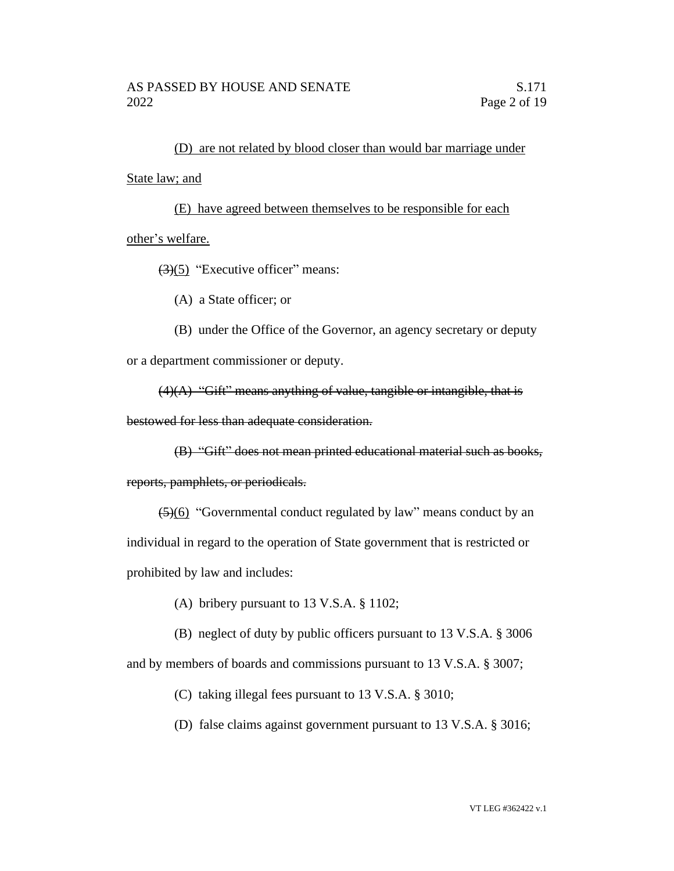(D) are not related by blood closer than would bar marriage under State law; and

(E) have agreed between themselves to be responsible for each other's welfare.

 $(3)(5)$  "Executive officer" means:

(A) a State officer; or

(B) under the Office of the Governor, an agency secretary or deputy or a department commissioner or deputy.

 $(4)(A)$  "Gift" means anything of value, tangible or intangible, that is

bestowed for less than adequate consideration.

(B) "Gift" does not mean printed educational material such as books,

reports, pamphlets, or periodicals.

(5)(6) "Governmental conduct regulated by law" means conduct by an individual in regard to the operation of State government that is restricted or prohibited by law and includes:

(A) bribery pursuant to 13 V.S.A. § 1102;

(B) neglect of duty by public officers pursuant to 13 V.S.A. § 3006

and by members of boards and commissions pursuant to 13 V.S.A. § 3007;

(C) taking illegal fees pursuant to 13 V.S.A. § 3010;

(D) false claims against government pursuant to 13 V.S.A. § 3016;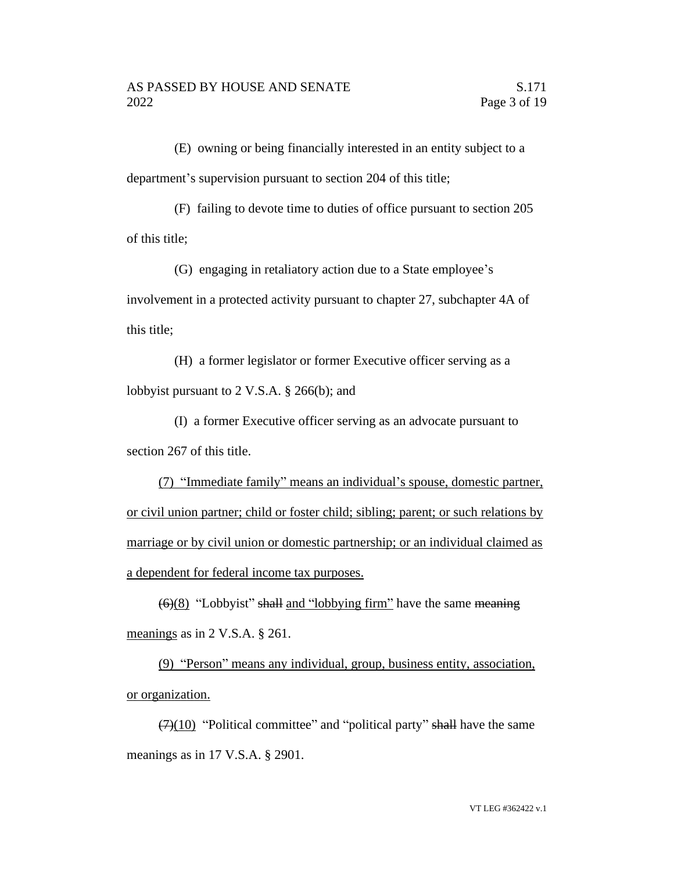(E) owning or being financially interested in an entity subject to a department's supervision pursuant to section 204 of this title;

(F) failing to devote time to duties of office pursuant to section 205 of this title;

(G) engaging in retaliatory action due to a State employee's involvement in a protected activity pursuant to chapter 27, subchapter 4A of this title;

(H) a former legislator or former Executive officer serving as a lobbyist pursuant to 2 V.S.A. § 266(b); and

(I) a former Executive officer serving as an advocate pursuant to section 267 of this title.

(7) "Immediate family" means an individual's spouse, domestic partner, or civil union partner; child or foster child; sibling; parent; or such relations by marriage or by civil union or domestic partnership; or an individual claimed as a dependent for federal income tax purposes.

 $\left(\frac{6}{8}\right)$  "Lobbyist" shall and "lobbying firm" have the same meaning meanings as in 2 V.S.A. § 261.

(9) "Person" means any individual, group, business entity, association, or organization.

 $(7)(10)$  "Political committee" and "political party" shall have the same meanings as in 17 V.S.A. § 2901.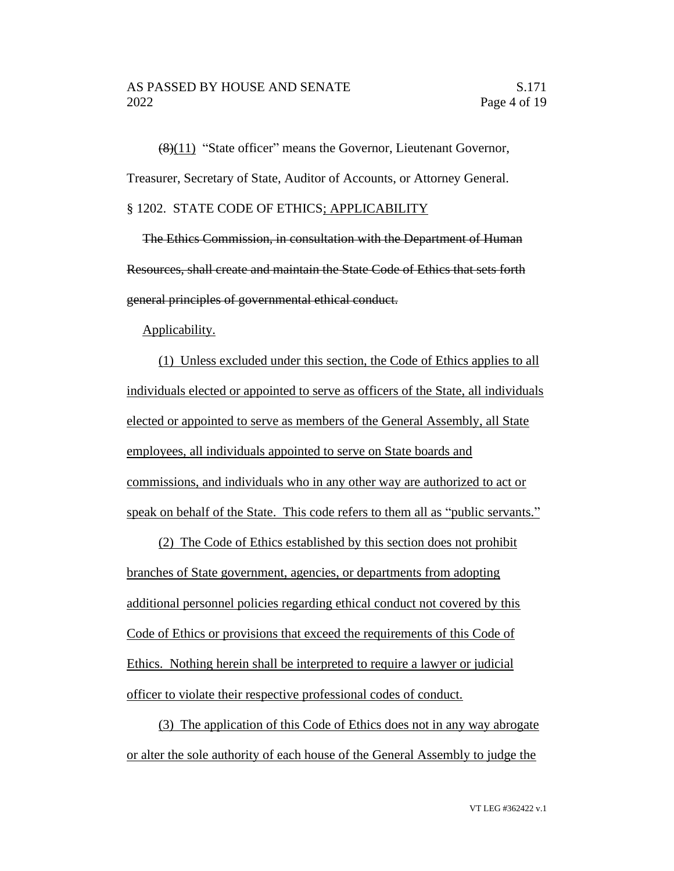(8)(11) "State officer" means the Governor, Lieutenant Governor, Treasurer, Secretary of State, Auditor of Accounts, or Attorney General. § 1202. STATE CODE OF ETHICS; APPLICABILITY

The Ethics Commission, in consultation with the Department of Human Resources, shall create and maintain the State Code of Ethics that sets forth general principles of governmental ethical conduct.

#### Applicability.

(1) Unless excluded under this section, the Code of Ethics applies to all individuals elected or appointed to serve as officers of the State, all individuals elected or appointed to serve as members of the General Assembly, all State employees, all individuals appointed to serve on State boards and commissions, and individuals who in any other way are authorized to act or speak on behalf of the State. This code refers to them all as "public servants."

(2) The Code of Ethics established by this section does not prohibit branches of State government, agencies, or departments from adopting additional personnel policies regarding ethical conduct not covered by this Code of Ethics or provisions that exceed the requirements of this Code of Ethics. Nothing herein shall be interpreted to require a lawyer or judicial officer to violate their respective professional codes of conduct.

(3) The application of this Code of Ethics does not in any way abrogate or alter the sole authority of each house of the General Assembly to judge the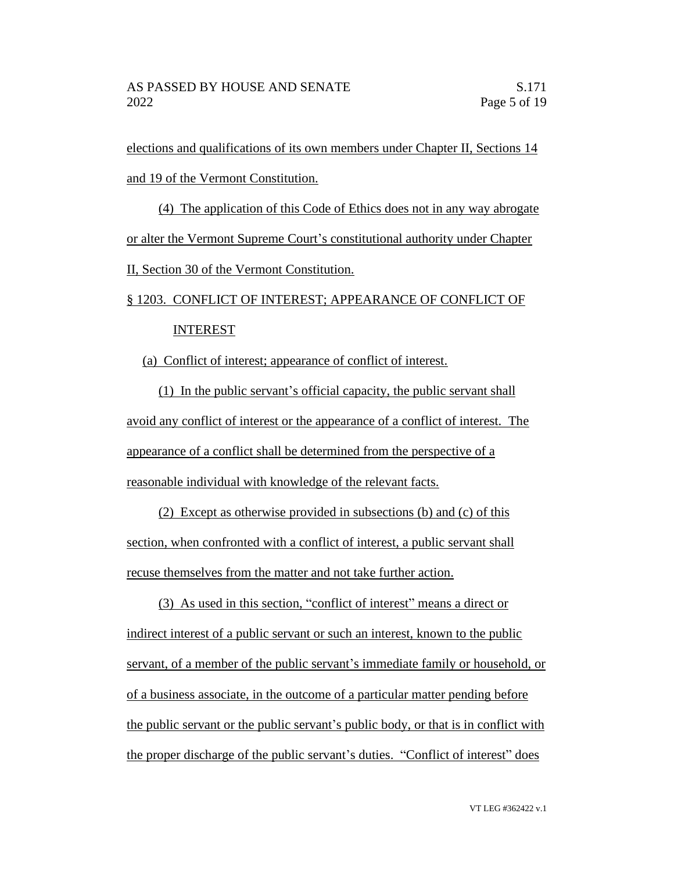elections and qualifications of its own members under Chapter II, Sections 14 and 19 of the Vermont Constitution.

(4) The application of this Code of Ethics does not in any way abrogate or alter the Vermont Supreme Court's constitutional authority under Chapter II, Section 30 of the Vermont Constitution.

# § 1203. CONFLICT OF INTEREST; APPEARANCE OF CONFLICT OF INTEREST

(a) Conflict of interest; appearance of conflict of interest.

(1) In the public servant's official capacity, the public servant shall avoid any conflict of interest or the appearance of a conflict of interest. The appearance of a conflict shall be determined from the perspective of a reasonable individual with knowledge of the relevant facts.

(2) Except as otherwise provided in subsections (b) and (c) of this section, when confronted with a conflict of interest, a public servant shall recuse themselves from the matter and not take further action.

(3) As used in this section, "conflict of interest" means a direct or indirect interest of a public servant or such an interest, known to the public servant, of a member of the public servant's immediate family or household, or of a business associate, in the outcome of a particular matter pending before the public servant or the public servant's public body, or that is in conflict with the proper discharge of the public servant's duties. "Conflict of interest" does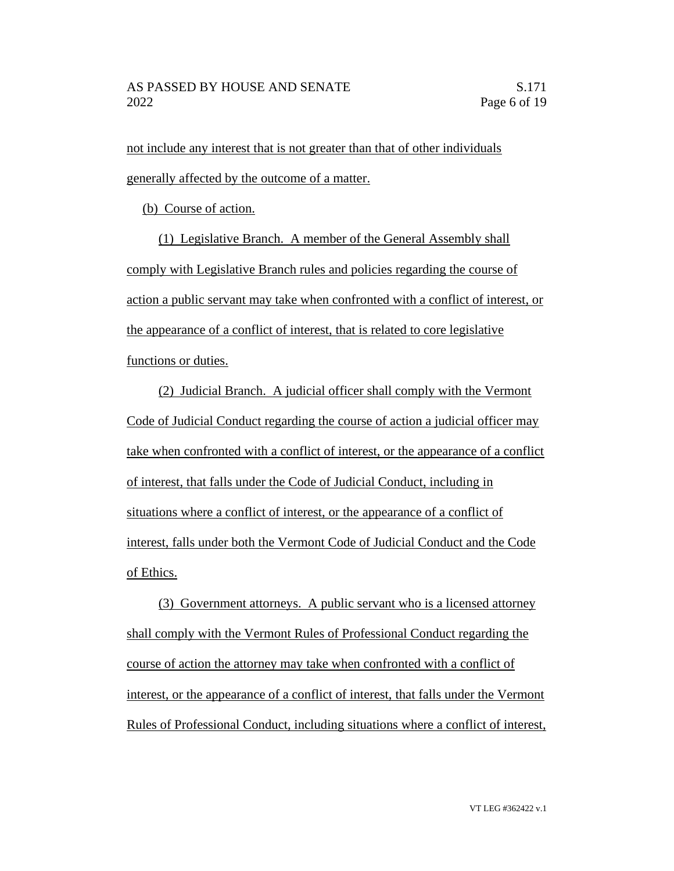not include any interest that is not greater than that of other individuals generally affected by the outcome of a matter.

(b) Course of action.

(1) Legislative Branch. A member of the General Assembly shall comply with Legislative Branch rules and policies regarding the course of action a public servant may take when confronted with a conflict of interest, or the appearance of a conflict of interest, that is related to core legislative functions or duties.

(2) Judicial Branch. A judicial officer shall comply with the Vermont Code of Judicial Conduct regarding the course of action a judicial officer may take when confronted with a conflict of interest, or the appearance of a conflict of interest, that falls under the Code of Judicial Conduct, including in situations where a conflict of interest, or the appearance of a conflict of interest, falls under both the Vermont Code of Judicial Conduct and the Code of Ethics.

(3) Government attorneys. A public servant who is a licensed attorney shall comply with the Vermont Rules of Professional Conduct regarding the course of action the attorney may take when confronted with a conflict of interest, or the appearance of a conflict of interest, that falls under the Vermont Rules of Professional Conduct, including situations where a conflict of interest,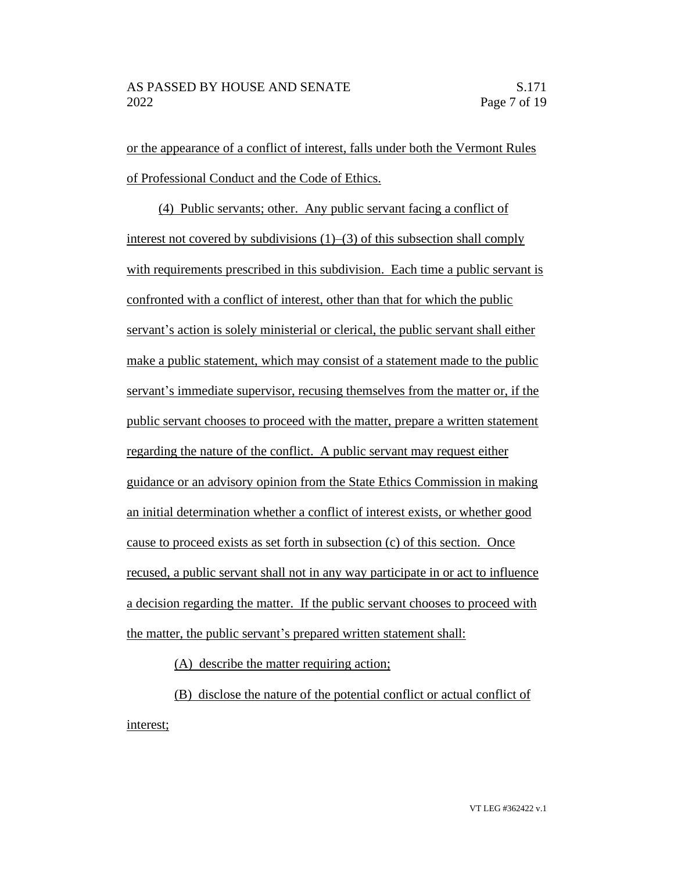or the appearance of a conflict of interest, falls under both the Vermont Rules of Professional Conduct and the Code of Ethics.

(4) Public servants; other. Any public servant facing a conflict of interest not covered by subdivisions (1)–(3) of this subsection shall comply with requirements prescribed in this subdivision. Each time a public servant is confronted with a conflict of interest, other than that for which the public servant's action is solely ministerial or clerical, the public servant shall either make a public statement, which may consist of a statement made to the public servant's immediate supervisor, recusing themselves from the matter or, if the public servant chooses to proceed with the matter, prepare a written statement regarding the nature of the conflict. A public servant may request either guidance or an advisory opinion from the State Ethics Commission in making an initial determination whether a conflict of interest exists, or whether good cause to proceed exists as set forth in subsection (c) of this section. Once recused, a public servant shall not in any way participate in or act to influence a decision regarding the matter. If the public servant chooses to proceed with the matter, the public servant's prepared written statement shall:

(A) describe the matter requiring action;

(B) disclose the nature of the potential conflict or actual conflict of interest;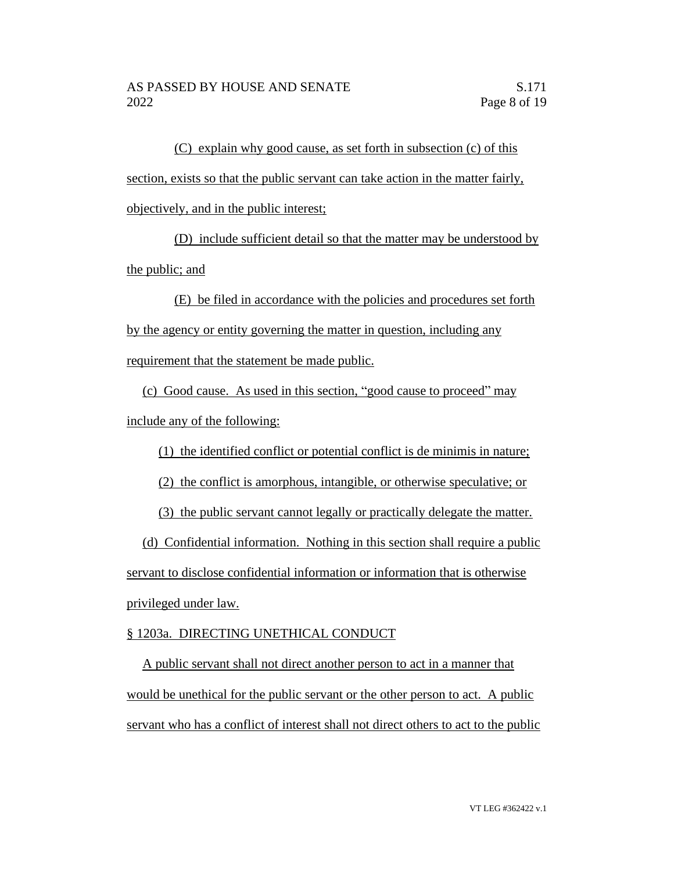(C) explain why good cause, as set forth in subsection (c) of this section, exists so that the public servant can take action in the matter fairly, objectively, and in the public interest;

(D) include sufficient detail so that the matter may be understood by the public; and

(E) be filed in accordance with the policies and procedures set forth by the agency or entity governing the matter in question, including any requirement that the statement be made public.

(c) Good cause. As used in this section, "good cause to proceed" may include any of the following:

(1) the identified conflict or potential conflict is de minimis in nature;

(2) the conflict is amorphous, intangible, or otherwise speculative; or

(3) the public servant cannot legally or practically delegate the matter.

(d) Confidential information. Nothing in this section shall require a public servant to disclose confidential information or information that is otherwise privileged under law.

# § 1203a. DIRECTING UNETHICAL CONDUCT

A public servant shall not direct another person to act in a manner that would be unethical for the public servant or the other person to act. A public servant who has a conflict of interest shall not direct others to act to the public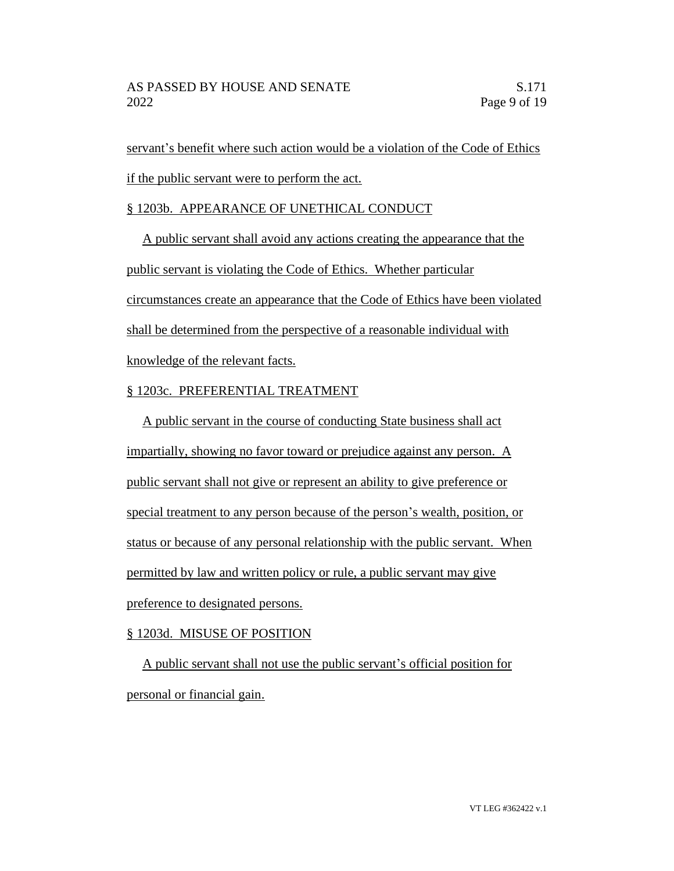servant's benefit where such action would be a violation of the Code of Ethics if the public servant were to perform the act.

## § 1203b. APPEARANCE OF UNETHICAL CONDUCT

A public servant shall avoid any actions creating the appearance that the public servant is violating the Code of Ethics. Whether particular circumstances create an appearance that the Code of Ethics have been violated shall be determined from the perspective of a reasonable individual with knowledge of the relevant facts.

# § 1203c. PREFERENTIAL TREATMENT

A public servant in the course of conducting State business shall act impartially, showing no favor toward or prejudice against any person. A public servant shall not give or represent an ability to give preference or special treatment to any person because of the person's wealth, position, or status or because of any personal relationship with the public servant. When permitted by law and written policy or rule, a public servant may give preference to designated persons.

## § 1203d. MISUSE OF POSITION

A public servant shall not use the public servant's official position for personal or financial gain.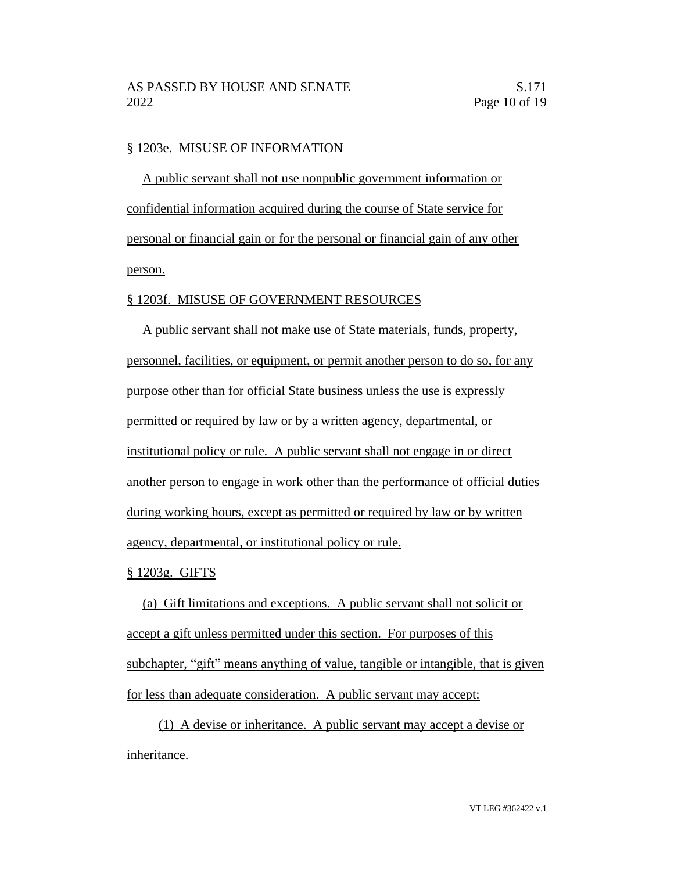#### § 1203e. MISUSE OF INFORMATION

A public servant shall not use nonpublic government information or confidential information acquired during the course of State service for personal or financial gain or for the personal or financial gain of any other person.

## § 1203f. MISUSE OF GOVERNMENT RESOURCES

A public servant shall not make use of State materials, funds, property, personnel, facilities, or equipment, or permit another person to do so, for any purpose other than for official State business unless the use is expressly permitted or required by law or by a written agency, departmental, or institutional policy or rule. A public servant shall not engage in or direct another person to engage in work other than the performance of official duties during working hours, except as permitted or required by law or by written agency, departmental, or institutional policy or rule.

## § 1203g. GIFTS

(a) Gift limitations and exceptions. A public servant shall not solicit or accept a gift unless permitted under this section. For purposes of this subchapter, "gift" means anything of value, tangible or intangible, that is given for less than adequate consideration. A public servant may accept:

(1) A devise or inheritance. A public servant may accept a devise or inheritance.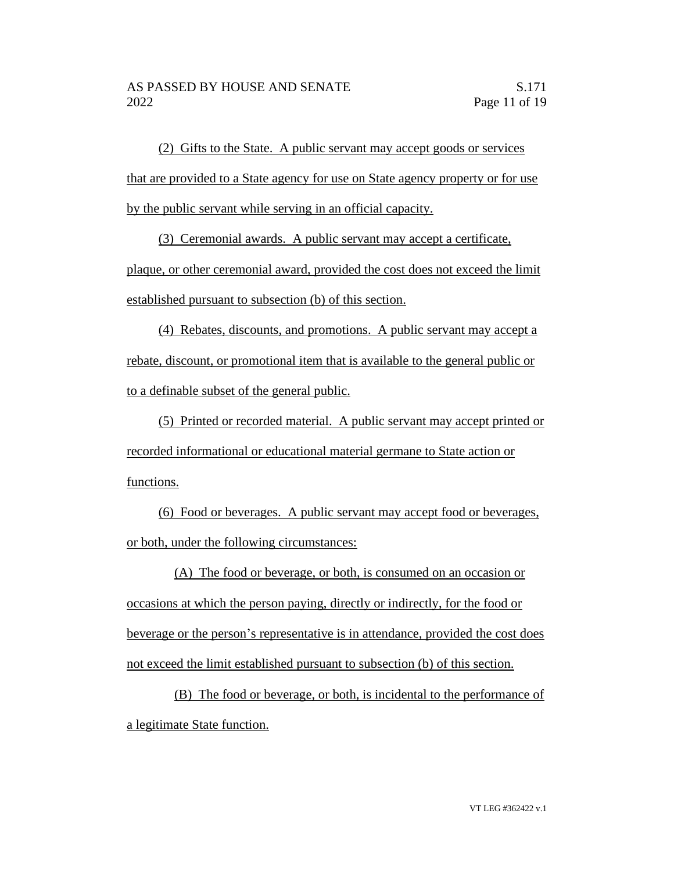(2) Gifts to the State. A public servant may accept goods or services that are provided to a State agency for use on State agency property or for use by the public servant while serving in an official capacity.

(3) Ceremonial awards. A public servant may accept a certificate,

plaque, or other ceremonial award, provided the cost does not exceed the limit established pursuant to subsection (b) of this section.

(4) Rebates, discounts, and promotions. A public servant may accept a rebate, discount, or promotional item that is available to the general public or to a definable subset of the general public.

(5) Printed or recorded material. A public servant may accept printed or recorded informational or educational material germane to State action or functions.

(6) Food or beverages. A public servant may accept food or beverages, or both, under the following circumstances:

(A) The food or beverage, or both, is consumed on an occasion or occasions at which the person paying, directly or indirectly, for the food or beverage or the person's representative is in attendance, provided the cost does not exceed the limit established pursuant to subsection (b) of this section.

(B) The food or beverage, or both, is incidental to the performance of a legitimate State function.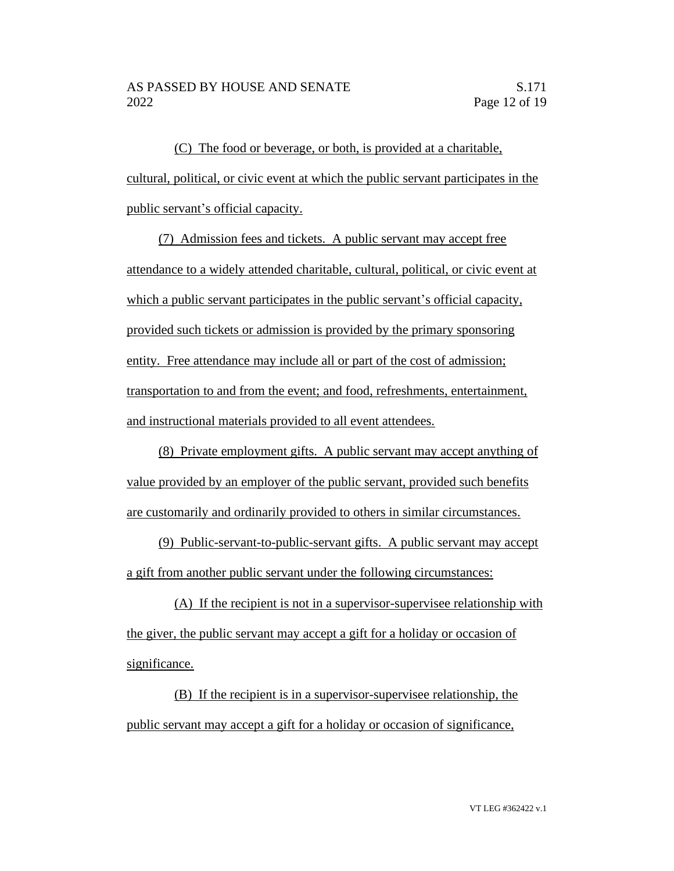(C) The food or beverage, or both, is provided at a charitable, cultural, political, or civic event at which the public servant participates in the public servant's official capacity.

(7) Admission fees and tickets. A public servant may accept free attendance to a widely attended charitable, cultural, political, or civic event at which a public servant participates in the public servant's official capacity, provided such tickets or admission is provided by the primary sponsoring entity. Free attendance may include all or part of the cost of admission; transportation to and from the event; and food, refreshments, entertainment, and instructional materials provided to all event attendees.

(8) Private employment gifts. A public servant may accept anything of value provided by an employer of the public servant, provided such benefits are customarily and ordinarily provided to others in similar circumstances.

(9) Public-servant-to-public-servant gifts. A public servant may accept a gift from another public servant under the following circumstances:

(A) If the recipient is not in a supervisor-supervisee relationship with the giver, the public servant may accept a gift for a holiday or occasion of significance.

(B) If the recipient is in a supervisor-supervisee relationship, the public servant may accept a gift for a holiday or occasion of significance,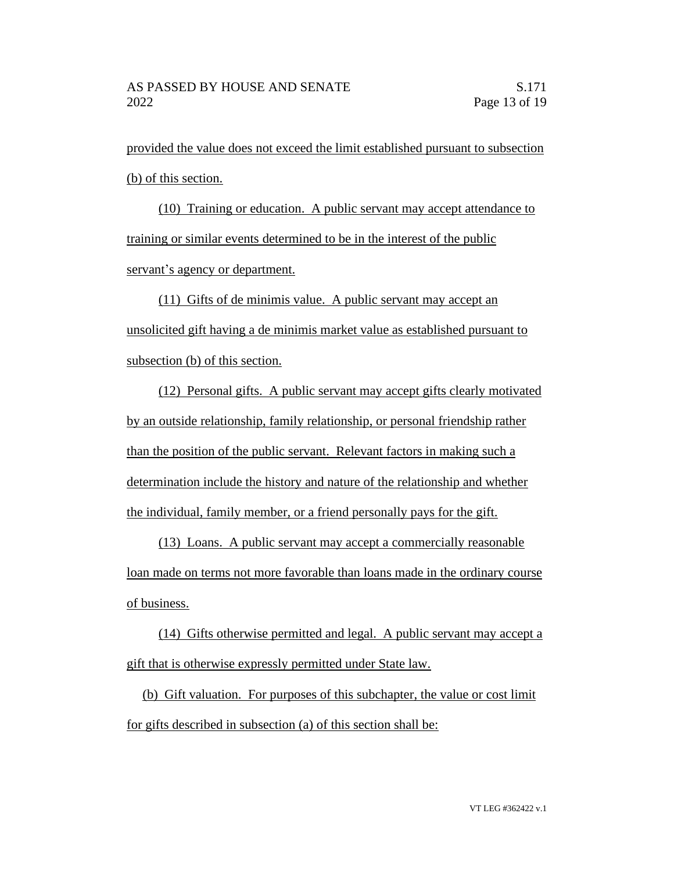provided the value does not exceed the limit established pursuant to subsection (b) of this section.

(10) Training or education. A public servant may accept attendance to training or similar events determined to be in the interest of the public servant's agency or department.

(11) Gifts of de minimis value. A public servant may accept an unsolicited gift having a de minimis market value as established pursuant to subsection (b) of this section.

(12) Personal gifts. A public servant may accept gifts clearly motivated by an outside relationship, family relationship, or personal friendship rather than the position of the public servant. Relevant factors in making such a determination include the history and nature of the relationship and whether the individual, family member, or a friend personally pays for the gift.

(13) Loans. A public servant may accept a commercially reasonable loan made on terms not more favorable than loans made in the ordinary course of business.

(14) Gifts otherwise permitted and legal. A public servant may accept a gift that is otherwise expressly permitted under State law.

(b) Gift valuation. For purposes of this subchapter, the value or cost limit for gifts described in subsection (a) of this section shall be: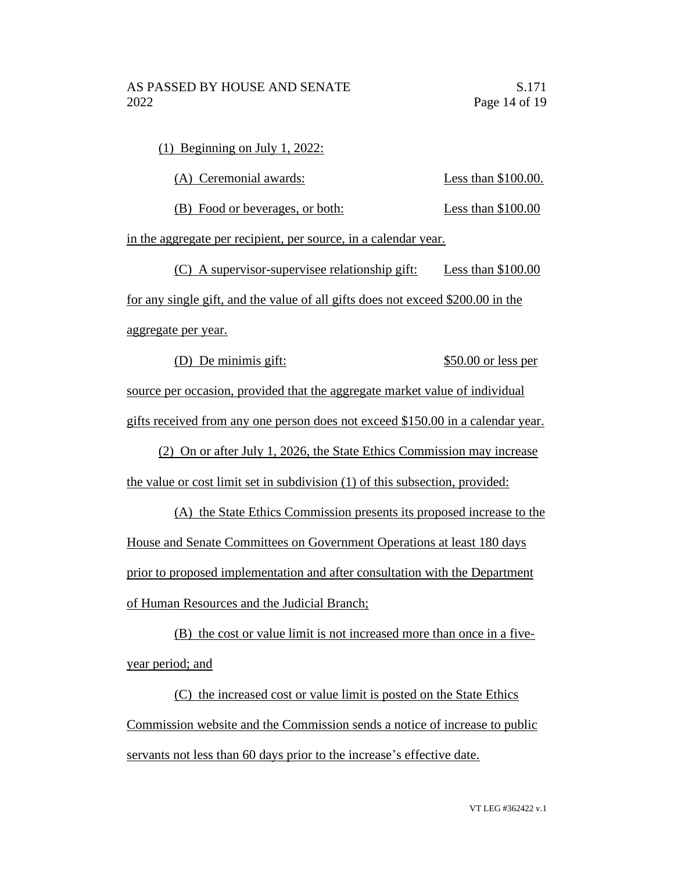(1) Beginning on July 1, 2022:

(A) Ceremonial awards: Less than \$100.00.

(B) Food or beverages, or both: Less than \$100.00

in the aggregate per recipient, per source, in a calendar year.

(C) A supervisor-supervisee relationship gift: Less than \$100.00 for any single gift, and the value of all gifts does not exceed \$200.00 in the aggregate per year.

(D) De minimis gift:  $$50.00$  or less per source per occasion, provided that the aggregate market value of individual

gifts received from any one person does not exceed \$150.00 in a calendar year.

(2) On or after July 1, 2026, the State Ethics Commission may increase the value or cost limit set in subdivision (1) of this subsection, provided:

(A) the State Ethics Commission presents its proposed increase to the House and Senate Committees on Government Operations at least 180 days prior to proposed implementation and after consultation with the Department of Human Resources and the Judicial Branch;

(B) the cost or value limit is not increased more than once in a fiveyear period; and

(C) the increased cost or value limit is posted on the State Ethics Commission website and the Commission sends a notice of increase to public servants not less than 60 days prior to the increase's effective date.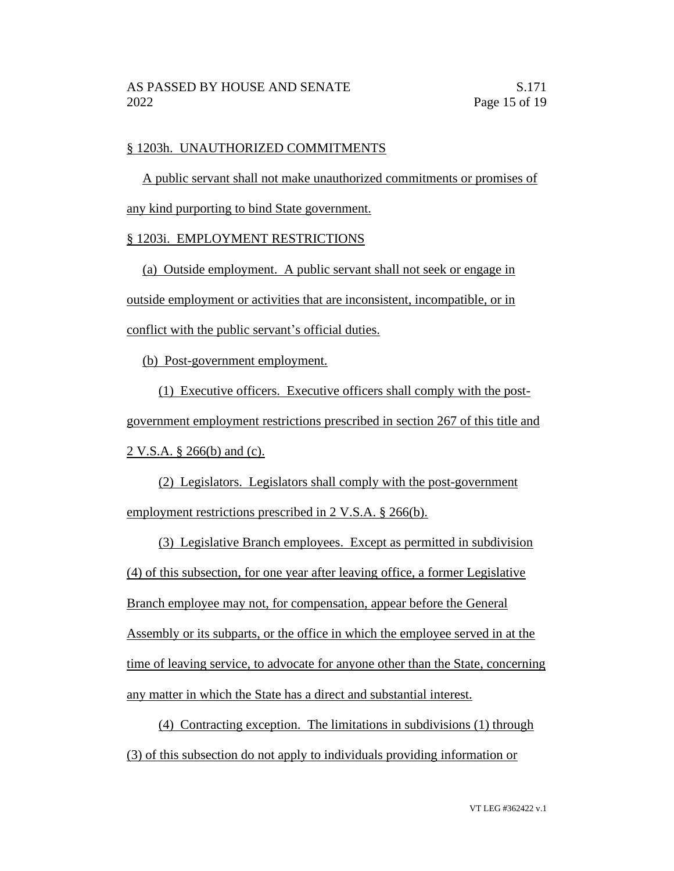#### § 1203h. UNAUTHORIZED COMMITMENTS

A public servant shall not make unauthorized commitments or promises of any kind purporting to bind State government.

## § 1203i. EMPLOYMENT RESTRICTIONS

(a) Outside employment. A public servant shall not seek or engage in outside employment or activities that are inconsistent, incompatible, or in conflict with the public servant's official duties.

(b) Post-government employment.

(1) Executive officers. Executive officers shall comply with the postgovernment employment restrictions prescribed in section 267 of this title and 2 V.S.A. § 266(b) and (c).

(2) Legislators. Legislators shall comply with the post-government employment restrictions prescribed in 2 V.S.A. § 266(b).

(3) Legislative Branch employees. Except as permitted in subdivision (4) of this subsection, for one year after leaving office, a former Legislative Branch employee may not, for compensation, appear before the General Assembly or its subparts, or the office in which the employee served in at the time of leaving service, to advocate for anyone other than the State, concerning any matter in which the State has a direct and substantial interest.

(4) Contracting exception. The limitations in subdivisions (1) through (3) of this subsection do not apply to individuals providing information or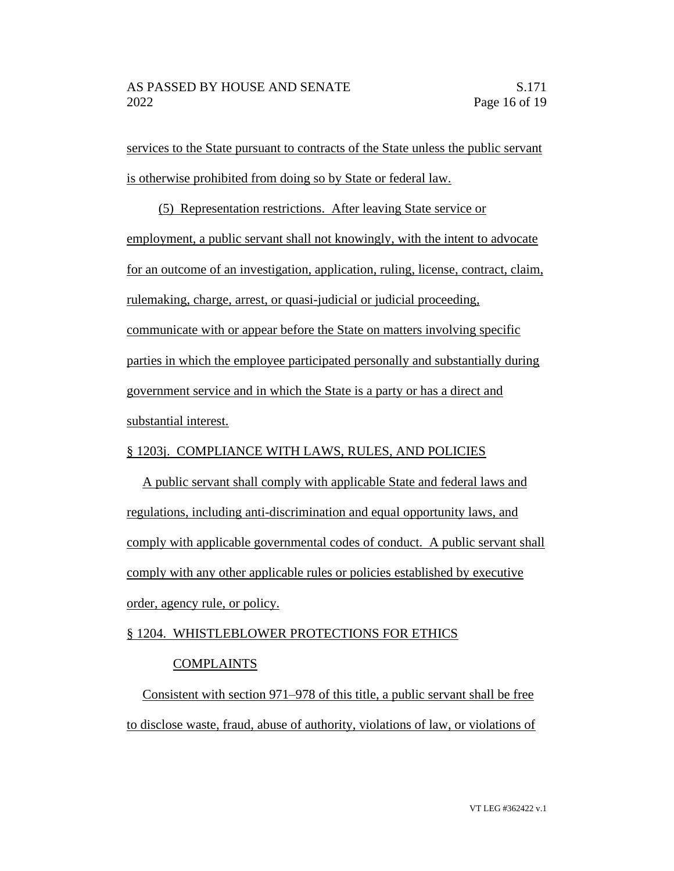services to the State pursuant to contracts of the State unless the public servant is otherwise prohibited from doing so by State or federal law.

(5) Representation restrictions. After leaving State service or employment, a public servant shall not knowingly, with the intent to advocate for an outcome of an investigation, application, ruling, license, contract, claim, rulemaking, charge, arrest, or quasi-judicial or judicial proceeding, communicate with or appear before the State on matters involving specific parties in which the employee participated personally and substantially during government service and in which the State is a party or has a direct and substantial interest.

# § 1203j. COMPLIANCE WITH LAWS, RULES, AND POLICIES

A public servant shall comply with applicable State and federal laws and regulations, including anti-discrimination and equal opportunity laws, and comply with applicable governmental codes of conduct. A public servant shall comply with any other applicable rules or policies established by executive order, agency rule, or policy.

## § 1204. WHISTLEBLOWER PROTECTIONS FOR ETHICS

## COMPLAINTS

Consistent with section 971–978 of this title, a public servant shall be free to disclose waste, fraud, abuse of authority, violations of law, or violations of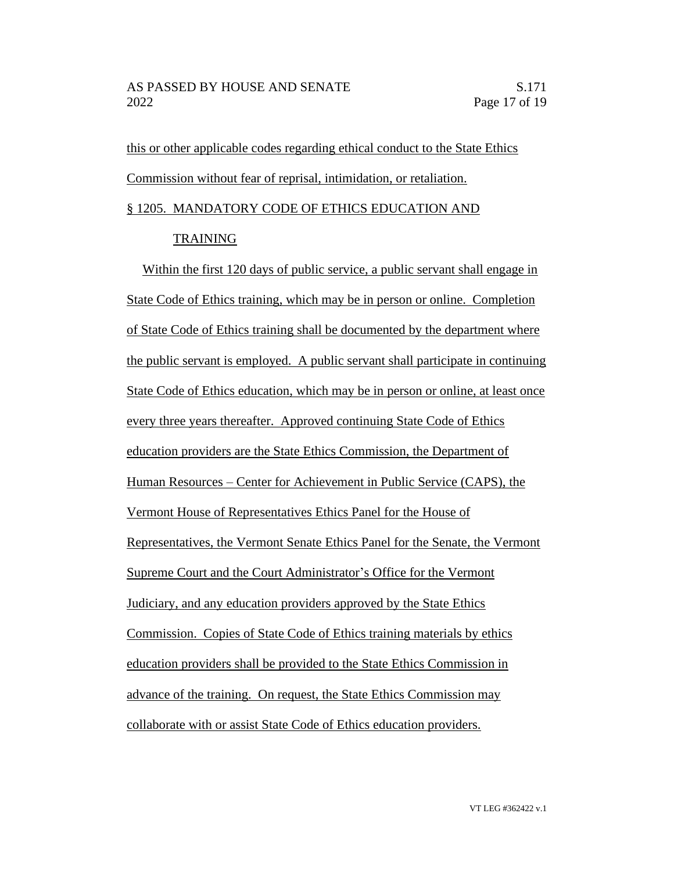this or other applicable codes regarding ethical conduct to the State Ethics Commission without fear of reprisal, intimidation, or retaliation. § 1205. MANDATORY CODE OF ETHICS EDUCATION AND

#### TRAINING

Within the first 120 days of public service, a public servant shall engage in State Code of Ethics training, which may be in person or online. Completion of State Code of Ethics training shall be documented by the department where the public servant is employed. A public servant shall participate in continuing State Code of Ethics education, which may be in person or online, at least once every three years thereafter. Approved continuing State Code of Ethics education providers are the State Ethics Commission, the Department of Human Resources – Center for Achievement in Public Service (CAPS), the Vermont House of Representatives Ethics Panel for the House of Representatives, the Vermont Senate Ethics Panel for the Senate, the Vermont Supreme Court and the Court Administrator's Office for the Vermont Judiciary, and any education providers approved by the State Ethics Commission. Copies of State Code of Ethics training materials by ethics education providers shall be provided to the State Ethics Commission in advance of the training. On request, the State Ethics Commission may collaborate with or assist State Code of Ethics education providers.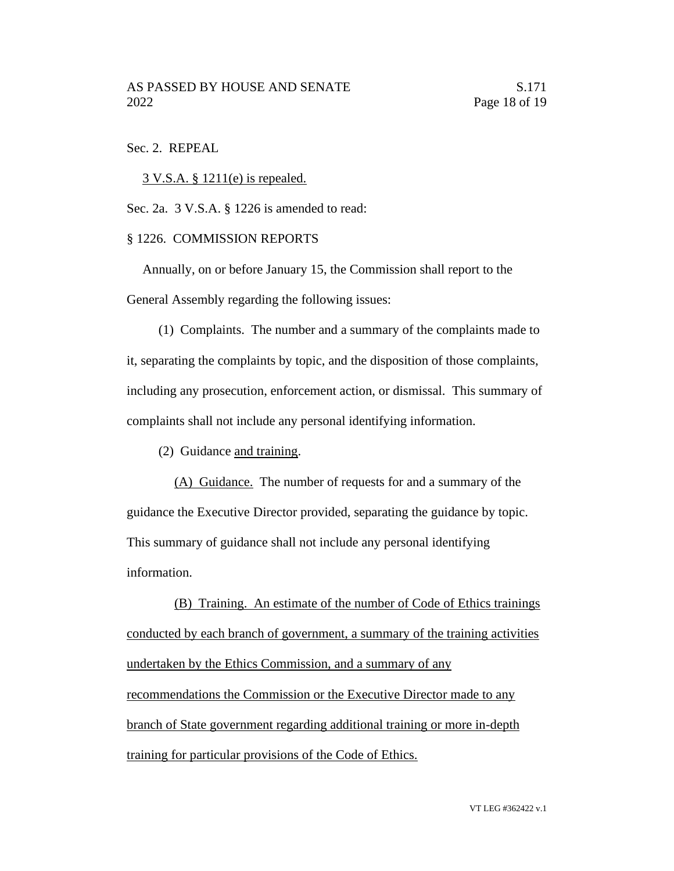#### Sec. 2. REPEAL

3 V.S.A. § 1211(e) is repealed.

Sec. 2a. 3 V.S.A. § 1226 is amended to read:

#### § 1226. COMMISSION REPORTS

Annually, on or before January 15, the Commission shall report to the General Assembly regarding the following issues:

(1) Complaints. The number and a summary of the complaints made to it, separating the complaints by topic, and the disposition of those complaints, including any prosecution, enforcement action, or dismissal. This summary of complaints shall not include any personal identifying information.

(2) Guidance and training.

(A) Guidance. The number of requests for and a summary of the guidance the Executive Director provided, separating the guidance by topic. This summary of guidance shall not include any personal identifying information.

(B) Training. An estimate of the number of Code of Ethics trainings conducted by each branch of government, a summary of the training activities undertaken by the Ethics Commission, and a summary of any recommendations the Commission or the Executive Director made to any branch of State government regarding additional training or more in-depth training for particular provisions of the Code of Ethics.